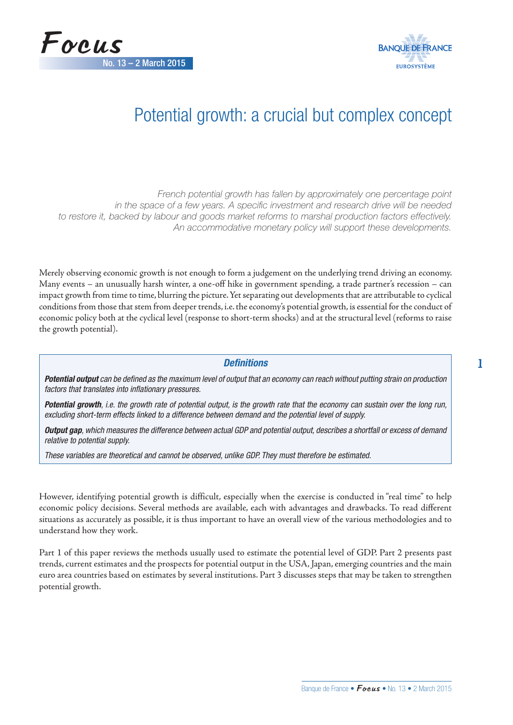



# Potential growth: a crucial but complex concept

*French potential growth has fallen by approximately one percentage point in the space of a few years. A specific investment and research drive will be needed to restore it, backed by labour and goods market reforms to marshal production factors effectively. An accommodative monetary policy will support these developments.*

Merely observing economic growth is not enough to form a judgement on the underlying trend driving an economy. Many events – an unusually harsh winter, a one-off hike in government spending, a trade partner's recession – can impact growth from time to time, blurring the picture. Yet separating out developments that are attributable to cyclical conditions from those that stem from deeper trends, i.e. the economy's potential growth, is essential for the conduct of economic policy both at the cyclical level (response to short-term shocks) and at the structural level (reforms to raise the growth potential).

### *Definitions*

*Potential output can be defined as the maximum level of output that an economy can reach without putting strain on production factors that translates into inflationary pressures.*

*Potential growth, i.e. the growth rate of potential output, is the growth rate that the economy can sustain over the long run, excluding short-term effects linked to a difference between demand and the potential level of supply.*

*Output gap, which measures the difference between actual GDP and potential output, describes a shortfall or excess of demand relative to potential supply.*

*These variables are theoretical and cannot be observed, unlike GDP. They must therefore be estimated.*

However, identifying potential growth is difficult, especially when the exercise is conducted in "real time" to help economic policy decisions. Several methods are available, each with advantages and drawbacks. To read different situations as accurately as possible, it is thus important to have an overall view of the various methodologies and to understand how they work.

Part 1 of this paper reviews the methods usually used to estimate the potential level of GDP. Part 2 presents past trends, current estimates and the prospects for potential output in the USA, Japan, emerging countries and the main euro area countries based on estimates by several institutions. Part 3 discusses steps that may be taken to strengthen potential growth.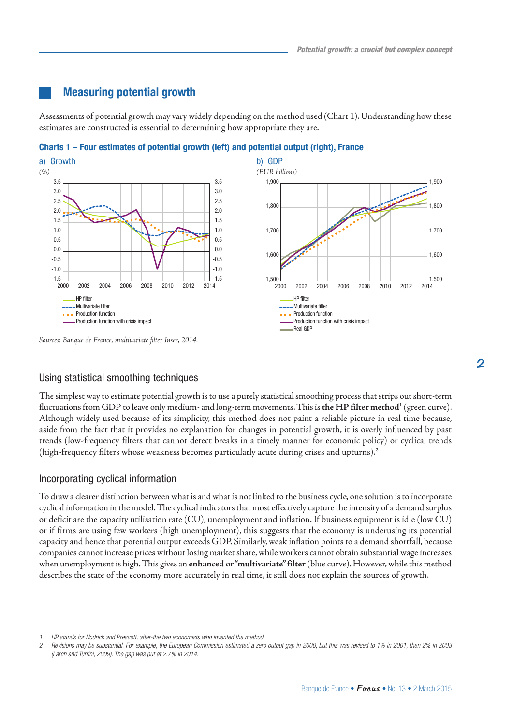# Measuring potential growth

Assessments of potential growth may vary widely depending on the method used (Chart 1). Understanding how these estimates are constructed is essential to determining how appropriate they are.



#### Charts 1 – Four estimates of potential growth (left) and potential output (right), France

*Sources: Banque de France, multivariate filter Insee, 2014.*

## Using statistical smoothing techniques

The simplest way to estimate potential growth is to use a purely statistical smoothing process that strips out short-term fluctuations from GDP to leave only medium- and long-term movements. This is **the HP filter method**<sup>1</sup> (green curve). Although widely used because of its simplicity, this method does not paint a reliable picture in real time because, aside from the fact that it provides no explanation for changes in potential growth, it is overly influenced by past trends (low-frequency filters that cannot detect breaks in a timely manner for economic policy) or cyclical trends (high-frequency filters whose weakness becomes particularly acute during crises and upturns).2

## Incorporating cyclical information

To draw a clearer distinction between what is and what is not linked to the business cycle, one solution is to incorporate cyclical information in the model. The cyclical indicators that most effectively capture the intensity of a demand surplus or deficit are the capacity utilisation rate (CU), unemployment and inflation. If business equipment is idle (low CU) or if firms are using few workers (high unemployment), this suggests that the economy is underusing its potential capacity and hence that potential output exceeds GDP. Similarly, weak inflation points to a demand shortfall, because companies cannot increase prices without losing market share, while workers cannot obtain substantial wage increases when unemployment is high. This gives an **enhanced or "multivariate" filter** (blue curve). However, while this method describes the state of the economy more accurately in real time, it still does not explain the sources of growth.

*1 HP stands for Hodrick and Prescott, after-the two economists who invented the method.*

*2 Revisions may be substantial. For example, the European Commission estimated a zero output gap in 2000, but this was revised to 1% in 2001, then 2% in 2003 (Larch and Turrini, 2009). The gap was put at 2.7% in 2014.*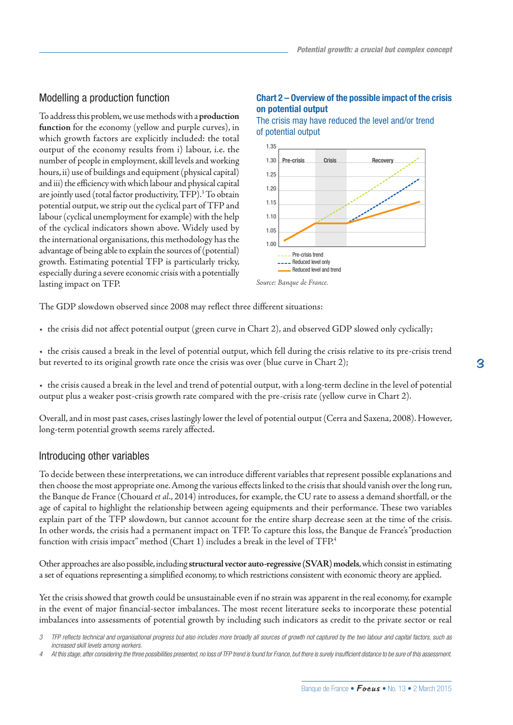## Modelling a production function

To address this problem, we use methods with a **production function** for the economy (yellow and purple curves), in which growth factors are explicitly included: the total output of the economy results from i) labour, i.e. the number of people in employment, skill levels and working hours, ii) use of buildings and equipment (physical capital) and iii) the efficiency with which labour and physical capital are jointly used (total factor productivity, TFP).3 To obtain potential output, we strip out the cyclical part of TFP and labour (cyclical unemployment for example) with the help of the cyclical indicators shown above. Widely used by the international organisations, this methodology has the advantage of being able to explain the sources of (potential) growth. Estimating potential TFP is particularly tricky, especially during a severe economic crisis with a potentially lasting impact on TFP.

#### Chart 2 – Overview of the possible impact of the crisis on potential output

The crisis may have reduced the level and/or trend of potential output



*Source: Banque de France.*

The GDP slowdown observed since 2008 may reflect three different situations:

• the crisis did not affect potential output (green curve in Chart 2), and observed GDP slowed only cyclically;

• the crisis caused a break in the level of potential output, which fell during the crisis relative to its pre-crisis trend but reverted to its original growth rate once the crisis was over (blue curve in Chart 2);

• the crisis caused a break in the level and trend of potential output, with a long-term decline in the level of potential output plus a weaker post-crisis growth rate compared with the pre-crisis rate (yellow curve in Chart 2).

Overall, and in most past cases, crises lastingly lower the level of potential output (Cerra and Saxena, 2008). However, long-term potential growth seems rarely affected.

## Introducing other variables

To decide between these interpretations, we can introduce different variables that represent possible explanations and then choose the most appropriate one. Among the various effects linked to the crisis that should vanish over the long run, the Banque de France (Chouard *et al*., 2014) introduces, for example, the CU rate to assess a demand shortfall, or the age of capital to highlight the relationship between ageing equipments and their performance. These two variables explain part of the TFP slowdown, but cannot account for the entire sharp decrease seen at the time of the crisis. In other words, the crisis had a permanent impact on TFP. To capture this loss, the Banque de France's "production function with crisis impact" method (Chart 1) includes a break in the level of TFP.<sup>4</sup>

Other approaches are also possible, including **structural vector auto-regressive (SVAR) models**, which consist in estimating a set of equations representing a simplified economy, to which restrictions consistent with economic theory are applied.

Yet the crisis showed that growth could be unsustainable even if no strain was apparent in the real economy, for example in the event of major financial-sector imbalances. The most recent literature seeks to incorporate these potential imbalances into assessments of potential growth by including such indicators as credit to the private sector or real

*<sup>3</sup> TFP reflects technical and organisational progress but also includes more broadly all sources of growth not captured by the two labour and capital factors, such as increased skill levels among workers.*

*<sup>4</sup> At this stage, after considering the three possibilities presented, no loss of TFP trend is found for France, but there is surely insufficient distance to be sure of this assessment.*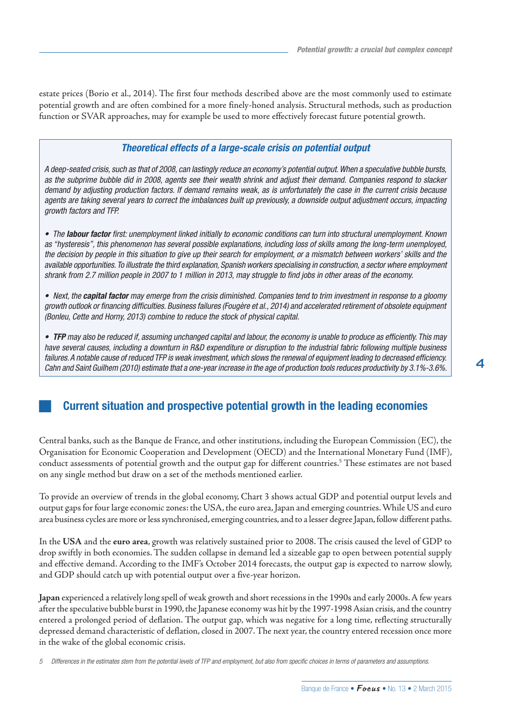estate prices (Borio et al., 2014). The first four methods described above are the most commonly used to estimate potential growth and are often combined for a more finely-honed analysis. Structural methods, such as production function or SVAR approaches, may for example be used to more effectively forecast future potential growth.

#### *Theoretical effects of a large-scale crisis on potential output*

*A deep-seated crisis, such as that of 2008, can lastingly reduce an economy's potential output. When a speculative bubble bursts, as the subprime bubble did in 2008, agents see their wealth shrink and adjust their demand. Companies respond to slacker demand by adjusting production factors. If demand remains weak, as is unfortunately the case in the current crisis because agents are taking several years to correct the imbalances built up previously, a downside output adjustment occurs, impacting growth factors and TFP.*

• The *labour factor first: unemployment linked initially to economic conditions can turn into structural unemployment. Known as "hysteresis", this phenomenon has several possible explanations, including loss of skills among the long-term unemployed, the decision by people in this situation to give up their search for employment, or a mismatch between workers' skills and the available opportunities. To illustrate the third explanation, Spanish workers specialising in construction, a sector where employment shrank from 2.7 million people in 2007 to 1 million in 2013, may struggle to find jobs in other areas of the economy.*

• Next, the *capital factor may emerge from the crisis diminished. Companies tend to trim investment in response to a gloomy growth outlook or financing difficulties. Business failures (Fougère et al., 2014) and accelerated retirement of obsolete equipment (Bonleu, Cette and Horny, 2013) combine to reduce the stock of physical capital.*

• *TFP may also be reduced if, assuming unchanged capital and labour, the economy is unable to produce as efficiently. This may have several causes, including a downturn in R&D expenditure or disruption to the industrial fabric following multiple business failures. A notable cause of reduced TFP is weak investment, which slows the renewal of equipment leading to decreased efficiency. Cahn and Saint Guilhem (2010) estimate that a one-year increase in the age of production tools reduces productivity by 3.1%-3.6%.*

# Current situation and prospective potential growth in the leading economies

Central banks, such as the Banque de France, and other institutions, including the European Commission (EC), the Organisation for Economic Cooperation and Development (OECD) and the International Monetary Fund (IMF), conduct assessments of potential growth and the output gap for different countries.<sup>5</sup> These estimates are not based on any single method but draw on a set of the methods mentioned earlier.

To provide an overview of trends in the global economy, Chart 3 shows actual GDP and potential output levels and output gaps for four large economic zones: the USA, the euro area, Japan and emerging countries. While US and euro area business cycles are more or less synchronised, emerging countries, and to a lesser degree Japan, follow different paths.

In the **USA** and the **euro area**, growth was relatively sustained prior to 2008. The crisis caused the level of GDP to drop swiftly in both economies. The sudden collapse in demand led a sizeable gap to open between potential supply and effective demand. According to the IMF's October 2014 forecasts, the output gap is expected to narrow slowly, and GDP should catch up with potential output over a five-year horizon.

**Japan** experienced a relatively long spell of weak growth and short recessions in the 1990s and early 2000s. A few years after the speculative bubble burst in 1990, the Japanese economy was hit by the 1997-1998 Asian crisis, and the country entered a prolonged period of deflation. The output gap, which was negative for a long time, reflecting structurally depressed demand characteristic of deflation, closed in 2007. The next year, the country entered recession once more in the wake of the global economic crisis.

*5 Differences in the estimates stem from the potential levels of TFP and employment, but also from specific choices in terms of parameters and assumptions.*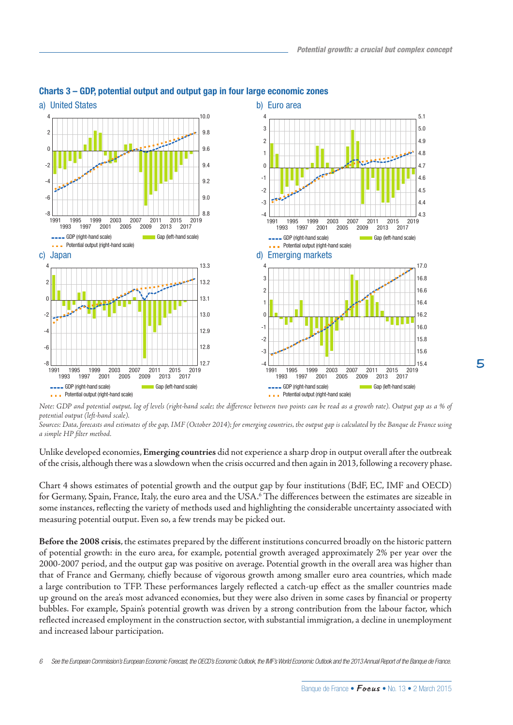

#### Charts 3 – GDP, potential output and output gap in four large economic zones

*Note: GDP and potential output, log of levels (right-hand scale; the difference between two points can be read as a growth rate). Output gap as a % of potential output (left-hand scale).*

*Sources: Data, forecasts and estimates of the gap, IMF (October 2014); for emerging countries, the output gap is calculated by the Banque de France using a simple HP filter method.*

Unlike developed economies, **Emerging countries** did not experience a sharp drop in output overall after the outbreak of the crisis, although there was a slowdown when the crisis occurred and then again in 2013, following a recovery phase.

Chart 4 shows estimates of potential growth and the output gap by four institutions (BdF, EC, IMF and OECD) for Germany, Spain, France, Italy, the euro area and the USA.6 The differences between the estimates are sizeable in some instances, reflecting the variety of methods used and highlighting the considerable uncertainty associated with measuring potential output. Even so, a few trends may be picked out.

**Before the 2008 crisis**, the estimates prepared by the different institutions concurred broadly on the historic pattern of potential growth: in the euro area, for example, potential growth averaged approximately 2% per year over the 2000-2007 period, and the output gap was positive on average. Potential growth in the overall area was higher than that of France and Germany, chiefly because of vigorous growth among smaller euro area countries, which made a large contribution to TFP. These performances largely reflected a catch-up effect as the smaller countries made up ground on the area's most advanced economies, but they were also driven in some cases by financial or property bubbles. For example, Spain's potential growth was driven by a strong contribution from the labour factor, which reflected increased employment in the construction sector, with substantial immigration, a decline in unemployment and increased labour participation.

*6 See the European Commission's European Economic Forecast, the OECD's Economic Outlook, the IMF's World Economic Outlook and the 2013 Annual Report of the Banque de France.*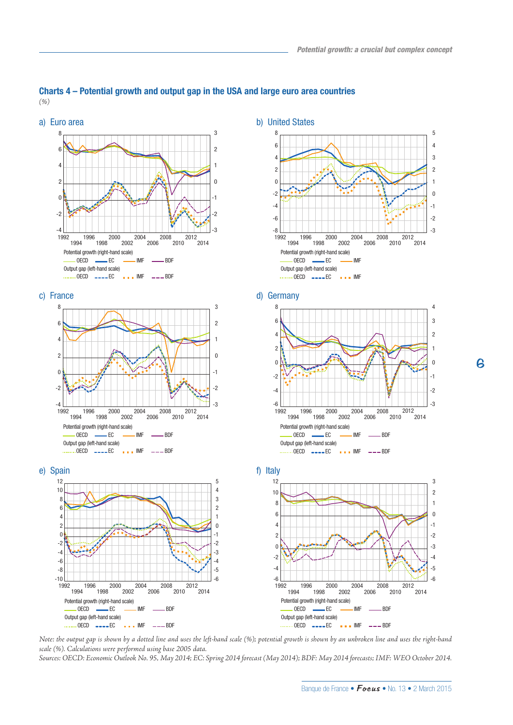

#### Charts 4 – Potential growth and output gap in the USA and large euro area countries *(%)*

a) Euro area b) United States

*Note: the output gap is shown by a dotted line and uses the left-hand scale (%); potential growth is shown by an unbroken line and uses the right-hand scale (%). Calculations were performed using base 2005 data.*

*Sources: OECD: Economic Outlook No. 95, May 2014; EC: Spring 2014 forecast (May 2014); BDF: May 2014 forecasts; IMF: WEO October 2014.*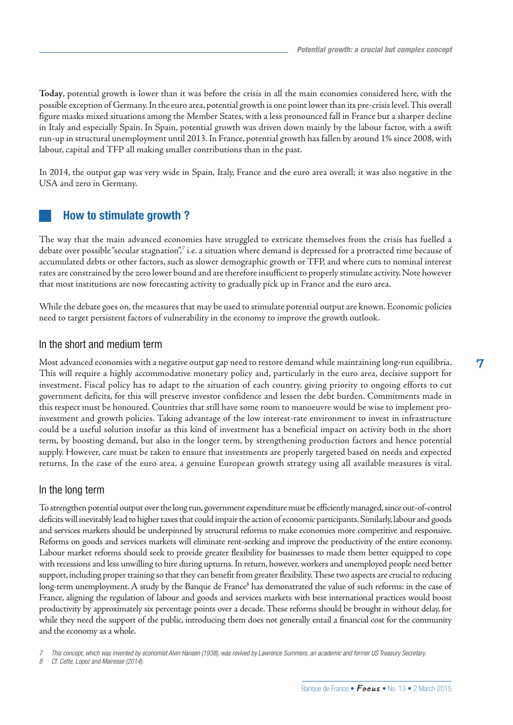**Today**, potential growth is lower than it was before the crisis in all the main economies considered here, with the possible exception of Germany. In the euro area, potential growth is one point lower than its pre-crisis level. This overall figure masks mixed situations among the Member States, with a less pronounced fall in France but a sharper decline in Italy and especially Spain. In Spain, potential growth was driven down mainly by the labour factor, with a swift run-up in structural unemployment until 2013. In France, potential growth has fallen by around 1% since 2008, with labour, capital and TFP all making smaller contributions than in the past.

In 2014, the output gap was very wide in Spain, Italy, France and the euro area overall; it was also negative in the USA and zero in Germany.

# How to stimulate growth ?

The way that the main advanced economies have struggled to extricate themselves from the crisis has fuelled a debate over possible "secular stagnation",<sup>7</sup> i.e. a situation where demand is depressed for a protracted time because of accumulated debts or other factors, such as slower demographic growth or TFP, and where cuts to nominal interest rates are constrained by the zero lower bound and are therefore insufficient to properly stimulate activity. Note however that most institutions are now forecasting activity to gradually pick up in France and the euro area.

While the debate goes on, the measures that may be used to stimulate potential output are known. Economic policies need to target persistent factors of vulnerability in the economy to improve the growth outlook.

#### In the short and medium term

Most advanced economies with a negative output gap need to restore demand while maintaining long-run equilibria. This will require a highly accommodative monetary policy and, particularly in the euro area, decisive support for investment. Fiscal policy has to adapt to the situation of each country, giving priority to ongoing efforts to cut government deficits, for this will preserve investor confidence and lessen the debt burden. Commitments made in this respect must be honoured. Countries that still have some room to manoeuvre would be wise to implement proinvestment and growth policies. Taking advantage of the low interest-rate environment to invest in infrastructure could be a useful solution insofar as this kind of investment has a beneficial impact on activity both in the short term, by boosting demand, but also in the longer term, by strengthening production factors and hence potential supply. However, care must be taken to ensure that investments are properly targeted based on needs and expected returns. In the case of the euro area, a genuine European growth strategy using all available measures is vital.

#### In the long term

To strengthen potential output over the long run, government expenditure must be efficiently managed, since out-of-control deficits will inevitably lead to higher taxes that could impair the action of economic participants. Similarly, labour and goods and services markets should be underpinned by structural reforms to make economies more competitive and responsive. Reforms on goods and services markets will eliminate rent-seeking and improve the productivity of the entire economy. Labour market reforms should seek to provide greater flexibility for businesses to made them better equipped to cope with recessions and less unwilling to hire during upturns. In return, however, workers and unemployed people need better support, including proper training so that they can benefit from greater flexibility. These two aspects are crucial to reducing long-term unemployment. A study by the Banque de France<sup>8</sup> has demonstrated the value of such reforms: in the case of France, aligning the regulation of labour and goods and services markets with best international practices would boost productivity by approximately six percentage points over a decade. These reforms should be brought in without delay, for while they need the support of the public, introducing them does not generally entail a financial cost for the community and the economy as a whole.

*7 This concept, which was invented by economist Alvin Hansen (1938), was revived by Lawrence Summers, an academic and former US Treasury Secretary.*

*8 Cf. Cette, Lopez and Mairesse (2014).*